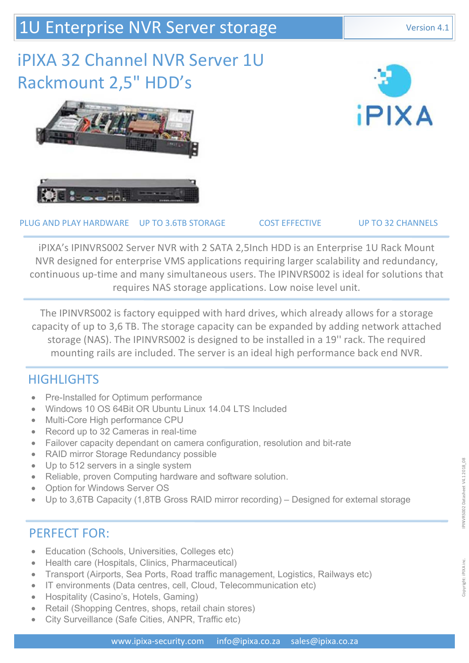## 1U Enterprise NVR Server storage Version 4.1

# iPIXA 32 Channel NVR Server 1U Rackmount 2,5" HDD's





PLUG AND PLAY HARDWARE UP TO 3.6TB STORAGE COST EFFECTIVE UP TO 32 CHANNELS

iPIXA's IPINVRS002 Server NVR with 2 SATA 2,5Inch HDD is an Enterprise 1U Rack Mount NVR designed for enterprise VMS applications requiring larger scalability and redundancy, continuous up-time and many simultaneous users. The IPINVRS002 is ideal for solutions that requires NAS storage applications. Low noise level unit.

The IPINVRS002 is factory equipped with hard drives, which already allows for a storage capacity of up to 3,6 TB. The storage capacity can be expanded by adding network attached storage (NAS). The IPINVRS002 is designed to be installed in a 19'' rack. The required mounting rails are included. The server is an ideal high performance back end NVR.

### **HIGHLIGHTS**

- Pre-Installed for Optimum performance
- Windows 10 OS 64Bit OR Ubuntu Linux 14.04 LTS Included
- Multi-Core High performance CPU
- Record up to 32 Cameras in real-time
- Failover capacity dependant on camera configuration, resolution and bit-rate
- RAID mirror Storage Redundancy possible
- Up to 512 servers in a single system
- Reliable, proven Computing hardware and software solution.
- Option for Windows Server OS
- Up to 3,6TB Capacity (1,8TB Gross RAID mirror recording) Designed for external storage

### PERFECT FOR:

- Education (Schools, Universities, Colleges etc)
- Health care (Hospitals, Clinics, Pharmaceutical)
- Transport (Airports, Sea Ports, Road traffic management, Logistics, Railways etc)
- IT environments (Data centres, cell, Cloud, Telecommunication etc)
- Hospitality (Casino's, Hotels, Gaming)
- Retail (Shopping Centres, shops, retail chain stores)
- City Surveillance (Safe Cities, ANPR, Traffic etc)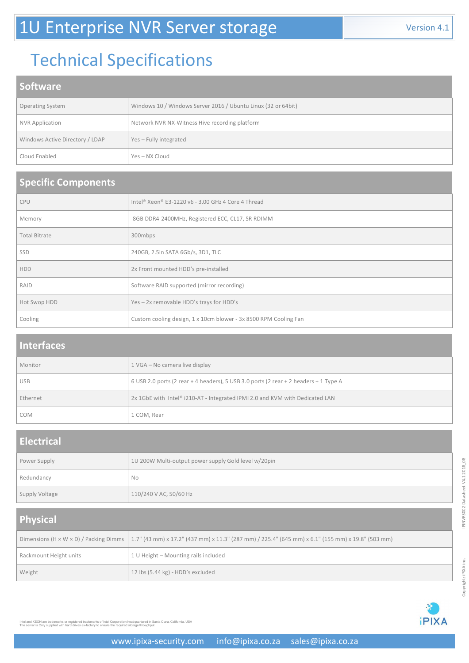# Technical Specifications

### **Software**

| <b>Operating System</b>         | Windows 10 / Windows Server 2016 / Ubuntu Linux (32 or 64bit) |
|---------------------------------|---------------------------------------------------------------|
| <b>NVR Application</b>          | Network NVR NX-Witness Hive recording platform                |
| Windows Active Directory / LDAP | Yes-Fully integrated                                          |
| Cloud Enabled                   | Yes – NX Cloud                                                |

#### **Specific Components**

| <b>CPU</b>           | Intel® Xeon® E3-1220 v6 - 3.00 GHz 4 Core 4 Thread               |
|----------------------|------------------------------------------------------------------|
| Memory               | 8GB DDR4-2400MHz, Registered ECC, CL17, SR RDIMM                 |
| <b>Total Bitrate</b> | 300mbps                                                          |
| SSD                  | 240GB, 2.5in SATA 6Gb/s, 3D1, TLC                                |
| <b>HDD</b>           | 2x Front mounted HDD's pre-installed                             |
| RAID                 | Software RAID supported (mirror recording)                       |
| Hot Swop HDD         | Yes - 2x removable HDD's trays for HDD's                         |
| Cooling              | Custom cooling design, 1 x 10cm blower - 3x 8500 RPM Cooling Fan |

#### **Interfaces**

| Monitor    | 1 VGA - No camera live display                                                       |
|------------|--------------------------------------------------------------------------------------|
| <b>USB</b> | 6 USB 2.0 ports (2 rear + 4 headers), 5 USB 3.0 ports (2 rear + 2 headers + 1 Type A |
| Ethernet   | 2x 1GbE with Intel® i210-AT - Integrated IPMI 2.0 and KVM with Dedicated LAN         |
| <b>COM</b> | 1 COM, Rear                                                                          |

## **Electrical**

| Power Supply   | 1U 200W Multi-output power supply Gold level w/20pin |
|----------------|------------------------------------------------------|
| Redundancy     | <b>No</b>                                            |
| Supply Voltage | 110/240 V AC, 50/60 Hz                               |

## **Physical**

|                        | Dimensions (H x W x D) / Packing Dimms   1.7" (43 mm) x 17.2" (437 mm) x 11.3" (287 mm) / 225.4" (645 mm) x 6.1" (155 mm) x 19.8" (503 mm) |
|------------------------|--------------------------------------------------------------------------------------------------------------------------------------------|
| Rackmount Height units | 1 U Height - Mounting rails included                                                                                                       |
| Weight                 | 12 lbs (5.44 kg) - HDD's excluded                                                                                                          |



Intel and XEON are trademarks or registered trademarks of Intel Corporation headquartered in Santa Clara, California, USA<br>The server is Only supplied with hard drives ex-factory to ensure the required storage throughput.